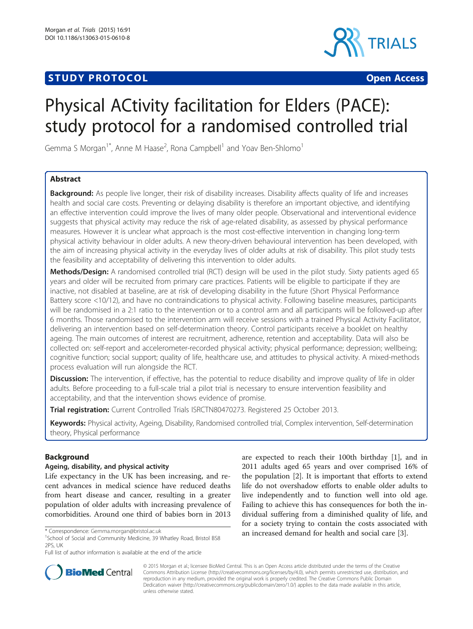## **STUDY PROTOCOL CONSUMING THE CONSUMING OPEN ACCESS**



# Physical ACtivity facilitation for Elders (PACE): study protocol for a randomised controlled trial

Gemma S Morgan<sup>1\*</sup>, Anne M Haase<sup>2</sup>, Rona Campbell<sup>1</sup> and Yoav Ben-Shlomo<sup>1</sup>

## Abstract

Background: As people live longer, their risk of disability increases. Disability affects quality of life and increases health and social care costs. Preventing or delaying disability is therefore an important objective, and identifying an effective intervention could improve the lives of many older people. Observational and interventional evidence suggests that physical activity may reduce the risk of age-related disability, as assessed by physical performance measures. However it is unclear what approach is the most cost-effective intervention in changing long-term physical activity behaviour in older adults. A new theory-driven behavioural intervention has been developed, with the aim of increasing physical activity in the everyday lives of older adults at risk of disability. This pilot study tests the feasibility and acceptability of delivering this intervention to older adults.

Methods/Design: A randomised controlled trial (RCT) design will be used in the pilot study. Sixty patients aged 65 years and older will be recruited from primary care practices. Patients will be eligible to participate if they are inactive, not disabled at baseline, are at risk of developing disability in the future (Short Physical Performance Battery score <10/12), and have no contraindications to physical activity. Following baseline measures, participants will be randomised in a 2:1 ratio to the intervention or to a control arm and all participants will be followed-up after 6 months. Those randomised to the intervention arm will receive sessions with a trained Physical Activity Facilitator, delivering an intervention based on self-determination theory. Control participants receive a booklet on healthy ageing. The main outcomes of interest are recruitment, adherence, retention and acceptability. Data will also be collected on: self-report and accelerometer-recorded physical activity; physical performance; depression; wellbeing; cognitive function; social support; quality of life, healthcare use, and attitudes to physical activity. A mixed-methods process evaluation will run alongside the RCT.

Discussion: The intervention, if effective, has the potential to reduce disability and improve quality of life in older adults. Before proceeding to a full-scale trial a pilot trial is necessary to ensure intervention feasibility and acceptability, and that the intervention shows evidence of promise.

Trial registration: Current Controlled Trials [ISRCTN80470273.](http://www.isrctn.com/ISRCTN80470273) Registered 25 October 2013.

Keywords: Physical activity, Ageing, Disability, Randomised controlled trial, Complex intervention, Self-determination theory, Physical performance

## Background

## Ageing, disability, and physical activity

Life expectancy in the UK has been increasing, and recent advances in medical science have reduced deaths from heart disease and cancer, resulting in a greater population of older adults with increasing prevalence of comorbidities. Around one third of babies born in 2013

<sup>1</sup>School of Social and Community Medicine, 39 Whatley Road, Bristol BS8 2PS, UK

are expected to reach their 100th birthday [[1\]](#page-6-0), and in 2011 adults aged 65 years and over comprised 16% of the population [[2\]](#page-6-0). It is important that efforts to extend life do not overshadow efforts to enable older adults to live independently and to function well into old age. Failing to achieve this has consequences for both the individual suffering from a diminished quality of life, and for a society trying to contain the costs associated with \* Correspondence: Gemma.morgan@bristol.ac.uk an increased demand for health and social care [[3\]](#page-6-0).



© 2015 Morgan et al.; licensee BioMed Central. This is an Open Access article distributed under the terms of the Creative Commons Attribution License [\(http://creativecommons.org/licenses/by/4.0\)](http://creativecommons.org/licenses/by/4.0), which permits unrestricted use, distribution, and reproduction in any medium, provided the original work is properly credited. The Creative Commons Public Domain Dedication waiver [\(http://creativecommons.org/publicdomain/zero/1.0/](http://creativecommons.org/publicdomain/zero/1.0/)) applies to the data made available in this article, unless otherwise stated.

Full list of author information is available at the end of the article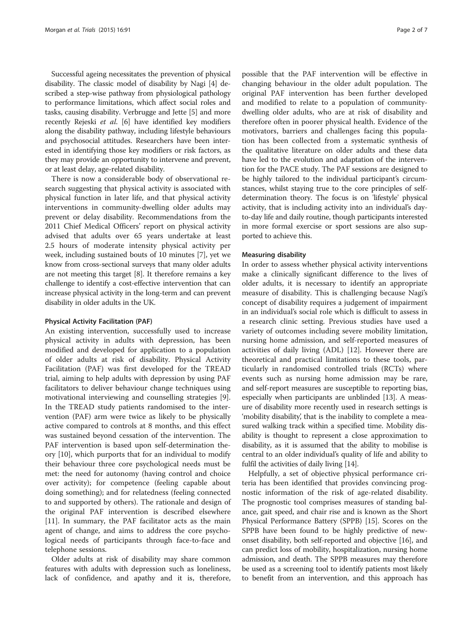Successful ageing necessitates the prevention of physical disability. The classic model of disability by Nagi [[4\]](#page-6-0) described a step-wise pathway from physiological pathology to performance limitations, which affect social roles and tasks, causing disability. Verbrugge and Jette [\[5\]](#page-6-0) and more recently Rejeski et al. [\[6](#page-6-0)] have identified key modifiers along the disability pathway, including lifestyle behaviours and psychosocial attitudes. Researchers have been interested in identifying those key modifiers or risk factors, as they may provide an opportunity to intervene and prevent, or at least delay, age-related disability.

There is now a considerable body of observational research suggesting that physical activity is associated with physical function in later life, and that physical activity interventions in community-dwelling older adults may prevent or delay disability. Recommendations from the 2011 Chief Medical Officers' report on physical activity advised that adults over 65 years undertake at least 2.5 hours of moderate intensity physical activity per week, including sustained bouts of 10 minutes [\[7](#page-6-0)], yet we know from cross-sectional surveys that many older adults are not meeting this target [[8\]](#page-6-0). It therefore remains a key challenge to identify a cost-effective intervention that can increase physical activity in the long-term and can prevent disability in older adults in the UK.

#### Physical Activity Facilitation (PAF)

An existing intervention, successfully used to increase physical activity in adults with depression, has been modified and developed for application to a population of older adults at risk of disability. Physical Activity Facilitation (PAF) was first developed for the TREAD trial, aiming to help adults with depression by using PAF facilitators to deliver behaviour change techniques using motivational interviewing and counselling strategies [\[9](#page-6-0)]. In the TREAD study patients randomised to the intervention (PAF) arm were twice as likely to be physically active compared to controls at 8 months, and this effect was sustained beyond cessation of the intervention. The PAF intervention is based upon self-determination theory [\[10\]](#page-6-0), which purports that for an individual to modify their behaviour three core psychological needs must be met: the need for autonomy (having control and choice over activity); for competence (feeling capable about doing something); and for relatedness (feeling connected to and supported by others). The rationale and design of the original PAF intervention is described elsewhere [[11\]](#page-6-0). In summary, the PAF facilitator acts as the main agent of change, and aims to address the core psychological needs of participants through face-to-face and telephone sessions.

Older adults at risk of disability may share common features with adults with depression such as loneliness, lack of confidence, and apathy and it is, therefore,

possible that the PAF intervention will be effective in changing behaviour in the older adult population. The original PAF intervention has been further developed and modified to relate to a population of communitydwelling older adults, who are at risk of disability and therefore often in poorer physical health. Evidence of the motivators, barriers and challenges facing this population has been collected from a systematic synthesis of the qualitative literature on older adults and these data have led to the evolution and adaptation of the intervention for the PACE study. The PAF sessions are designed to be highly tailored to the individual participant's circumstances, whilst staying true to the core principles of selfdetermination theory. The focus is on 'lifestyle' physical activity, that is including activity into an individual's dayto-day life and daily routine, though participants interested in more formal exercise or sport sessions are also supported to achieve this.

#### Measuring disability

In order to assess whether physical activity interventions make a clinically significant difference to the lives of older adults, it is necessary to identify an appropriate measure of disability. This is challenging because Nagi's concept of disability requires a judgement of impairment in an individual's social role which is difficult to assess in a research clinic setting. Previous studies have used a variety of outcomes including severe mobility limitation, nursing home admission, and self-reported measures of activities of daily living (ADL) [\[12](#page-6-0)]. However there are theoretical and practical limitations to these tools, particularly in randomised controlled trials (RCTs) where events such as nursing home admission may be rare, and self-report measures are susceptible to reporting bias, especially when participants are unblinded [\[13\]](#page-6-0). A measure of disability more recently used in research settings is 'mobility disability', that is the inability to complete a measured walking track within a specified time. Mobility disability is thought to represent a close approximation to disability, as it is assumed that the ability to mobilise is central to an older individual's quality of life and ability to fulfil the activities of daily living [\[14\]](#page-6-0).

Helpfully, a set of objective physical performance criteria has been identified that provides convincing prognostic information of the risk of age-related disability. The prognostic tool comprises measures of standing balance, gait speed, and chair rise and is known as the Short Physical Performance Battery (SPPB) [\[15\]](#page-6-0). Scores on the SPPB have been found to be highly predictive of newonset disability, both self-reported and objective [[16](#page-6-0)], and can predict loss of mobility, hospitalization, nursing home admission, and death. The SPPB measures may therefore be used as a screening tool to identify patients most likely to benefit from an intervention, and this approach has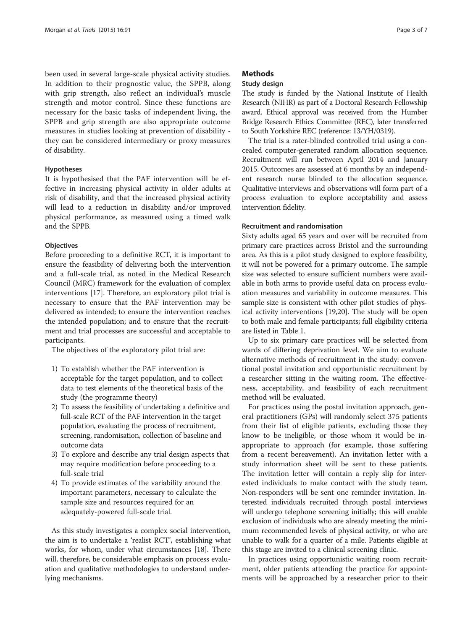been used in several large-scale physical activity studies. In addition to their prognostic value, the SPPB, along with grip strength, also reflect an individual's muscle strength and motor control. Since these functions are necessary for the basic tasks of independent living, the SPPB and grip strength are also appropriate outcome measures in studies looking at prevention of disability they can be considered intermediary or proxy measures of disability.

#### Hypotheses

It is hypothesised that the PAF intervention will be effective in increasing physical activity in older adults at risk of disability, and that the increased physical activity will lead to a reduction in disability and/or improved physical performance, as measured using a timed walk and the SPPB.

#### **Objectives**

Before proceeding to a definitive RCT, it is important to ensure the feasibility of delivering both the intervention and a full-scale trial, as noted in the Medical Research Council (MRC) framework for the evaluation of complex interventions [[17\]](#page-6-0). Therefore, an exploratory pilot trial is necessary to ensure that the PAF intervention may be delivered as intended; to ensure the intervention reaches the intended population; and to ensure that the recruitment and trial processes are successful and acceptable to participants.

The objectives of the exploratory pilot trial are:

- 1) To establish whether the PAF intervention is acceptable for the target population, and to collect data to test elements of the theoretical basis of the study (the programme theory)
- 2) To assess the feasibility of undertaking a definitive and full-scale RCT of the PAF intervention in the target population, evaluating the process of recruitment, screening, randomisation, collection of baseline and outcome data
- 3) To explore and describe any trial design aspects that may require modification before proceeding to a full-scale trial
- 4) To provide estimates of the variability around the important parameters, necessary to calculate the sample size and resources required for an adequately-powered full-scale trial.

As this study investigates a complex social intervention, the aim is to undertake a 'realist RCT', establishing what works, for whom, under what circumstances [[18\]](#page-6-0). There will, therefore, be considerable emphasis on process evaluation and qualitative methodologies to understand underlying mechanisms.

## **Methods**

## Study design

The study is funded by the National Institute of Health Research (NIHR) as part of a Doctoral Research Fellowship award. Ethical approval was received from the Humber Bridge Research Ethics Committee (REC), later transferred to South Yorkshire REC (reference: 13/YH/0319).

The trial is a rater-blinded controlled trial using a concealed computer-generated random allocation sequence. Recruitment will run between April 2014 and January 2015. Outcomes are assessed at 6 months by an independent research nurse blinded to the allocation sequence. Qualitative interviews and observations will form part of a process evaluation to explore acceptability and assess intervention fidelity.

#### Recruitment and randomisation

Sixty adults aged 65 years and over will be recruited from primary care practices across Bristol and the surrounding area. As this is a pilot study designed to explore feasibility, it will not be powered for a primary outcome. The sample size was selected to ensure sufficient numbers were available in both arms to provide useful data on process evaluation measures and variability in outcome measures. This sample size is consistent with other pilot studies of physical activity interventions [\[19,20\]](#page-6-0). The study will be open to both male and female participants; full eligibility criteria are listed in Table [1.](#page-3-0)

Up to six primary care practices will be selected from wards of differing deprivation level. We aim to evaluate alternative methods of recruitment in the study: conventional postal invitation and opportunistic recruitment by a researcher sitting in the waiting room. The effectiveness, acceptability, and feasibility of each recruitment method will be evaluated.

For practices using the postal invitation approach, general practitioners (GPs) will randomly select 375 patients from their list of eligible patients, excluding those they know to be ineligible, or those whom it would be inappropriate to approach (for example, those suffering from a recent bereavement). An invitation letter with a study information sheet will be sent to these patients. The invitation letter will contain a reply slip for interested individuals to make contact with the study team. Non-responders will be sent one reminder invitation. Interested individuals recruited through postal interviews will undergo telephone screening initially; this will enable exclusion of individuals who are already meeting the minimum recommended levels of physical activity, or who are unable to walk for a quarter of a mile. Patients eligible at this stage are invited to a clinical screening clinic.

In practices using opportunistic waiting room recruitment, older patients attending the practice for appointments will be approached by a researcher prior to their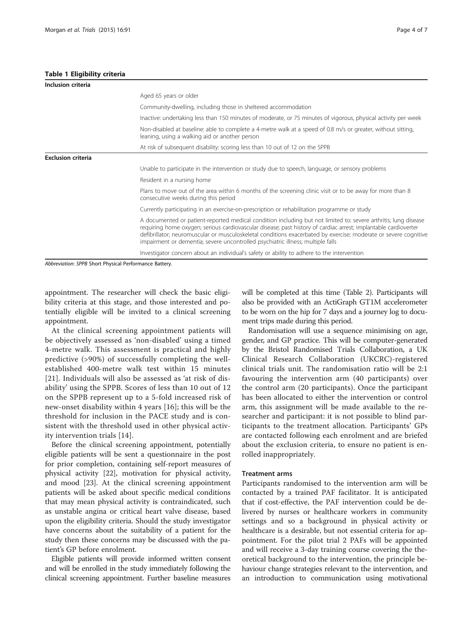#### <span id="page-3-0"></span>Table 1 Eligibility criteria

| Inclusion criteria        |                                                                                                                                                                                                                                                                                                                                                                                                                                           |  |  |
|---------------------------|-------------------------------------------------------------------------------------------------------------------------------------------------------------------------------------------------------------------------------------------------------------------------------------------------------------------------------------------------------------------------------------------------------------------------------------------|--|--|
|                           | Aged 65 years or older                                                                                                                                                                                                                                                                                                                                                                                                                    |  |  |
|                           | Community-dwelling, including those in sheltered accommodation                                                                                                                                                                                                                                                                                                                                                                            |  |  |
|                           | Inactive: undertaking less than 150 minutes of moderate, or 75 minutes of vigorous, physical activity per week                                                                                                                                                                                                                                                                                                                            |  |  |
|                           | Non-disabled at baseline: able to complete a 4-metre walk at a speed of 0.8 m/s or greater, without sitting,<br>leaning, using a walking aid or another person                                                                                                                                                                                                                                                                            |  |  |
|                           | At risk of subsequent disability: scoring less than 10 out of 12 on the SPPB                                                                                                                                                                                                                                                                                                                                                              |  |  |
| <b>Exclusion criteria</b> |                                                                                                                                                                                                                                                                                                                                                                                                                                           |  |  |
|                           | Unable to participate in the intervention or study due to speech, language, or sensory problems                                                                                                                                                                                                                                                                                                                                           |  |  |
|                           | Resident in a nursing home                                                                                                                                                                                                                                                                                                                                                                                                                |  |  |
|                           | Plans to move out of the area within 6 months of the screening clinic visit or to be away for more than 8<br>consecutive weeks during this period                                                                                                                                                                                                                                                                                         |  |  |
|                           | Currently participating in an exercise-on-prescription or rehabilitation programme or study                                                                                                                                                                                                                                                                                                                                               |  |  |
|                           | A documented or patient-reported medical condition including but not limited to: severe arthritis; lung disease<br>requiring home oxygen; serious cardiovascular disease; past history of cardiac arrest; implantable cardioverter<br>defibrillator; neuromuscular or musculoskeletal conditions exacerbated by exercise; moderate or severe cognitive<br>impairment or dementia; severe uncontrolled psychiatric illness; multiple falls |  |  |
|                           | Investigator concern about an individual's safety or ability to adhere to the intervention                                                                                                                                                                                                                                                                                                                                                |  |  |

Abbreviation: SPPB Short Physical Performance Battery.

appointment. The researcher will check the basic eligibility criteria at this stage, and those interested and potentially eligible will be invited to a clinical screening appointment.

At the clinical screening appointment patients will be objectively assessed as 'non-disabled' using a timed 4-metre walk. This assessment is practical and highly predictive (>90%) of successfully completing the wellestablished 400-metre walk test within 15 minutes [[21](#page-6-0)]. Individuals will also be assessed as 'at risk of disability' using the SPPB. Scores of less than 10 out of 12 on the SPPB represent up to a 5-fold increased risk of new-onset disability within 4 years [[16\]](#page-6-0); this will be the threshold for inclusion in the PACE study and is consistent with the threshold used in other physical activity intervention trials [\[14\]](#page-6-0).

Before the clinical screening appointment, potentially eligible patients will be sent a questionnaire in the post for prior completion, containing self-report measures of physical activity [[22\]](#page-6-0), motivation for physical activity, and mood [\[23](#page-6-0)]. At the clinical screening appointment patients will be asked about specific medical conditions that may mean physical activity is contraindicated, such as unstable angina or critical heart valve disease, based upon the eligibility criteria. Should the study investigator have concerns about the suitability of a patient for the study then these concerns may be discussed with the patient's GP before enrolment.

Eligible patients will provide informed written consent and will be enrolled in the study immediately following the clinical screening appointment. Further baseline measures will be completed at this time (Table [2](#page-4-0)). Participants will also be provided with an ActiGraph GT1M accelerometer to be worn on the hip for 7 days and a journey log to document trips made during this period.

Randomisation will use a sequence minimising on age, gender, and GP practice. This will be computer-generated by the Bristol Randomised Trials Collaboration, a UK Clinical Research Collaboration (UKCRC)-registered clinical trials unit. The randomisation ratio will be 2:1 favouring the intervention arm (40 participants) over the control arm (20 participants). Once the participant has been allocated to either the intervention or control arm, this assignment will be made available to the researcher and participant: it is not possible to blind participants to the treatment allocation. Participants' GPs are contacted following each enrolment and are briefed about the exclusion criteria, to ensure no patient is enrolled inappropriately.

#### Treatment arms

Participants randomised to the intervention arm will be contacted by a trained PAF facilitator. It is anticipated that if cost-effective, the PAF intervention could be delivered by nurses or healthcare workers in community settings and so a background in physical activity or healthcare is a desirable, but not essential criteria for appointment. For the pilot trial 2 PAFs will be appointed and will receive a 3-day training course covering the theoretical background to the intervention, the principle behaviour change strategies relevant to the intervention, and an introduction to communication using motivational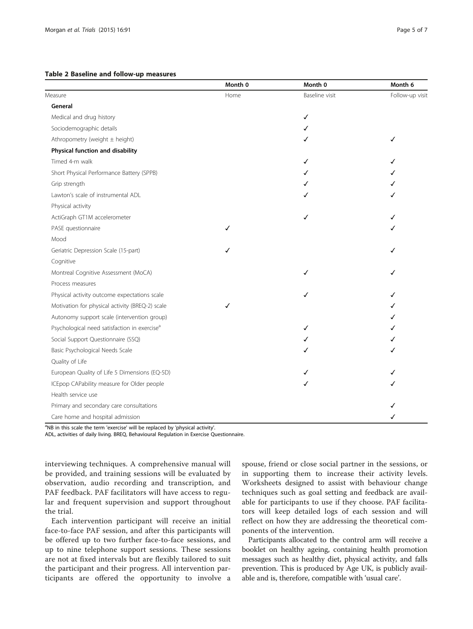## <span id="page-4-0"></span>Table 2 Baseline and follow-up measures

|                                                          | Month 0 | Month 0        | Month 6         |
|----------------------------------------------------------|---------|----------------|-----------------|
| Measure                                                  | Home    | Baseline visit | Follow-up visit |
| General                                                  |         |                |                 |
| Medical and drug history                                 |         | ✓              |                 |
| Sociodemographic details                                 |         | ✓              |                 |
| Athropometry (weight $\pm$ height)                       |         |                | ✓               |
| Physical function and disability                         |         |                |                 |
| Timed 4-m walk                                           |         | ✓              |                 |
| Short Physical Performance Battery (SPPB)                |         |                |                 |
| Grip strength                                            |         |                | ✓               |
| Lawton's scale of instrumental ADL                       |         |                | ℐ               |
| Physical activity                                        |         |                |                 |
| ActiGraph GT1M accelerometer                             |         | ✓              | ✓               |
| PASE questionnaire                                       | ✓       |                |                 |
| Mood                                                     |         |                |                 |
| Geriatric Depression Scale (15-part)                     | ✓       |                | ℐ               |
| Cognitive                                                |         |                |                 |
| Montreal Cognitive Assessment (MoCA)                     |         | ✓              | ✓               |
| Process measures                                         |         |                |                 |
| Physical activity outcome expectations scale             |         | ✓              | ✓               |
| Motivation for physical activity (BREQ-2) scale          | ✓       |                |                 |
| Autonomy support scale (intervention group)              |         |                |                 |
| Psychological need satisfaction in exercise <sup>a</sup> |         | √              |                 |
| Social Support Questionnaire (SSQ)                       |         |                |                 |
| Basic Psychological Needs Scale                          |         |                | ✓               |
| Quality of Life                                          |         |                |                 |
| European Quality of Life 5 Dimensions (EQ-5D)            |         | ✓              | ℐ               |
| ICEpop CAPability measure for Older people               |         | ✓              |                 |
| Health service use                                       |         |                |                 |
| Primary and secondary care consultations                 |         |                | ℐ               |
| Care home and hospital admission                         |         |                | ✓               |

<sup>a</sup>NB in this scale the term 'exercise' will be replaced by 'physical activity'.

ADL, activities of daily living. BREQ, Behavioural Regulation in Exercise Questionnaire.

interviewing techniques. A comprehensive manual will be provided, and training sessions will be evaluated by observation, audio recording and transcription, and PAF feedback. PAF facilitators will have access to regular and frequent supervision and support throughout the trial.

Each intervention participant will receive an initial face-to-face PAF session, and after this participants will be offered up to two further face-to-face sessions, and up to nine telephone support sessions. These sessions are not at fixed intervals but are flexibly tailored to suit the participant and their progress. All intervention participants are offered the opportunity to involve a spouse, friend or close social partner in the sessions, or in supporting them to increase their activity levels. Worksheets designed to assist with behaviour change techniques such as goal setting and feedback are available for participants to use if they choose. PAF facilitators will keep detailed logs of each session and will reflect on how they are addressing the theoretical components of the intervention.

Participants allocated to the control arm will receive a booklet on healthy ageing, containing health promotion messages such as healthy diet, physical activity, and falls prevention. This is produced by Age UK, is publicly available and is, therefore, compatible with 'usual care'.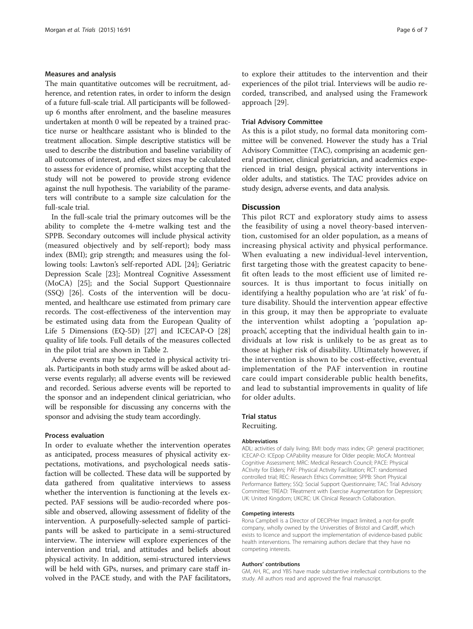#### Measures and analysis

The main quantitative outcomes will be recruitment, adherence, and retention rates, in order to inform the design of a future full-scale trial. All participants will be followedup 6 months after enrolment, and the baseline measures undertaken at month 0 will be repeated by a trained practice nurse or healthcare assistant who is blinded to the treatment allocation. Simple descriptive statistics will be used to describe the distribution and baseline variability of all outcomes of interest, and effect sizes may be calculated to assess for evidence of promise, whilst accepting that the study will not be powered to provide strong evidence against the null hypothesis. The variability of the parameters will contribute to a sample size calculation for the full-scale trial.

In the full-scale trial the primary outcomes will be the ability to complete the 4-metre walking test and the SPPB. Secondary outcomes will include physical activity (measured objectively and by self-report); body mass index (BMI); grip strength; and measures using the following tools: Lawton's self-reported ADL [[24](#page-6-0)]; Geriatric Depression Scale [\[23\]](#page-6-0); Montreal Cognitive Assessment (MoCA) [[25](#page-6-0)]; and the Social Support Questionnaire (SSQ) [\[26\]](#page-6-0). Costs of the intervention will be documented, and healthcare use estimated from primary care records. The cost-effectiveness of the intervention may be estimated using data from the European Quality of Life 5 Dimensions (EQ-5D) [[27\]](#page-6-0) and ICECAP-O [[28](#page-6-0)] quality of life tools. Full details of the measures collected in the pilot trial are shown in Table [2.](#page-4-0)

Adverse events may be expected in physical activity trials. Participants in both study arms will be asked about adverse events regularly; all adverse events will be reviewed and recorded. Serious adverse events will be reported to the sponsor and an independent clinical geriatrician, who will be responsible for discussing any concerns with the sponsor and advising the study team accordingly.

#### Process evaluation

In order to evaluate whether the intervention operates as anticipated, process measures of physical activity expectations, motivations, and psychological needs satisfaction will be collected. These data will be supported by data gathered from qualitative interviews to assess whether the intervention is functioning at the levels expected. PAF sessions will be audio-recorded where possible and observed, allowing assessment of fidelity of the intervention. A purposefully-selected sample of participants will be asked to participate in a semi-structured interview. The interview will explore experiences of the intervention and trial, and attitudes and beliefs about physical activity. In addition, semi-structured interviews will be held with GPs, nurses, and primary care staff involved in the PACE study, and with the PAF facilitators, to explore their attitudes to the intervention and their experiences of the pilot trial. Interviews will be audio recorded, transcribed, and analysed using the Framework approach [[29](#page-6-0)].

#### Trial Advisory Committee

As this is a pilot study, no formal data monitoring committee will be convened. However the study has a Trial Advisory Committee (TAC), comprising an academic general practitioner, clinical geriatrician, and academics experienced in trial design, physical activity interventions in older adults, and statistics. The TAC provides advice on study design, adverse events, and data analysis.

#### **Discussion**

This pilot RCT and exploratory study aims to assess the feasibility of using a novel theory-based intervention, customised for an older population, as a means of increasing physical activity and physical performance. When evaluating a new individual-level intervention, first targeting those with the greatest capacity to benefit often leads to the most efficient use of limited resources. It is thus important to focus initially on identifying a healthy population who are 'at risk' of future disability. Should the intervention appear effective in this group, it may then be appropriate to evaluate the intervention whilst adopting a 'population approach', accepting that the individual health gain to individuals at low risk is unlikely to be as great as to those at higher risk of disability. Ultimately however, if the intervention is shown to be cost-effective, eventual implementation of the PAF intervention in routine care could impart considerable public health benefits, and lead to substantial improvements in quality of life for older adults.

## Trial status

Recruiting.

#### Abbreviations

ADL: activities of daily living; BMI: body mass index; GP: general practitioner; ICECAP-O: ICEpop CAPability measure for Older people; MoCA: Montreal Cognitive Assessment; MRC: Medical Research Council; PACE: Physical ACtivity for Elders; PAF: Physical Activity Facilitation; RCT: randomised controlled trial; REC: Research Ethics Committee; SPPB: Short Physical Performance Battery; SSQ: Social Support Questionnaire; TAC: Trial Advisory Committee; TREAD: TReatment with Exercise Augmentation for Depression; UK: United Kingdom; UKCRC: UK Clinical Research Collaboration.

#### Competing interests

Rona Campbell is a Director of DECIPHer Impact limited, a not-for-profit company, wholly owned by the Universities of Bristol and Cardiff, which exists to licence and support the implementation of evidence-based public health interventions. The remaining authors declare that they have no competing interests.

#### Authors' contributions

GM, AH, RC, and YBS have made substantive intellectual contributions to the study. All authors read and approved the final manuscript.